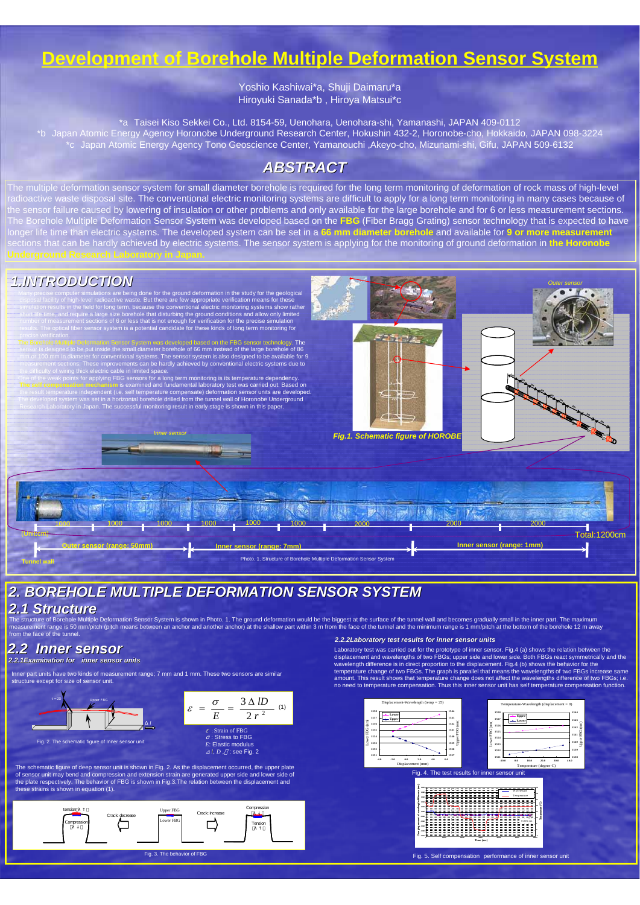## *ABSTRACT ABSTRACT*

The multiple deformation sensor system for small diameter borehole is required for the long term monitoring of deformation of rock mass of high-level radioactive waste disposal site. The conventional electric monitoring systems are difficult to apply for a long term monitoring in many cases because of the sensor failure caused by lowering of insulation or other problems and only available for the large borehole and for 6 or less measurement sections. The Borehole Multiple Deformation Sensor System was developed based on the **FBG** (Fiber Bragg Grating) sensor technology that is expected to have longer life time than electric systems. The developed system can be set in a **66 mm diameter borehole** and available for **9 or more measurement** sections that can be hardly achieved by electric systems. The sensor system is applying for the monitoring of ground deformation in **the Horonobe**



# *2. BOREHOLE MULTIPLE DEFORMATION SENSOR SYSTEM 2. BOREHOLE MULTIPLE DEFORMATION SENSOR SYSTEM*

### *2.1 Structure 2.1 Structure*

The structure of Borehole Multiple Deformation Sensor System is shown in Photo. 1. The ground deformation would be the biggest at the surface of the tunnel wall and becomes gradually small in the inner part. The maximum measurement range is 50 mm/pitch (pitch means between an anchor and another anchor) at the shallow part within 3 m from the face of the tunnel and the minimum range is 1 mm/pitch at the bottom of the borehole 12 m away from the face of the tunnel

### *2.2 Inner sensor 2.2 Inner sensor*

### **2.2.1Examination for inner sensor units**

Inner part units have two kinds of measurement range; 7 mm and 1 mm. These two sensors are similar structure except for size of sensor unit.

Fig. 2. The schematic figure of Inner sensor unit



### *2.2.2Laboratory test results for inner sensor units test results for*





Laboratory test was carried out for the prototype of inner sensor. Fig.4 (a) shows the relation between the displacement and wavelengths of two FBGs; upper side and lower side. Both FBGs react symmetrically and the wavelength difference is in direct proportion to the displacement. Fig.4 (b) shows the behavior for the temperature change of two FBGs. The graph is parallel that means the wavelengths of two FBGs increase same amount. This result shows that temperature change does not affect the wavelengths difference of two FBGs; i.e.

#### no need to temperature compensation. Thus this inner sensor unit has self temperature compensation function.





Fig. 5. Self compensation performance of inner sensor unit

#### Fig. 4. The test results for inner sensor unit

The schematic figure of deep sensor unit is shown in Fig. 2. As the displacement occurred, the upper plate of sensor unit may bend and compression and extension strain are generated upper side and lower side of the plate respectively. The behavior of FBG is shown in Fig.3.The relation between the displacement and these strains is shown in equation (1).

# **Development of Borehole Multiple Deformation Sensor System**

Yoshio Kashiwai\*a, Shuji Daimaru\*a Hiroyuki Sanada\*b , Hiroya Matsui\*c

\*a Taisei Kiso Sekkei Co., Ltd. 8154-59, Uenohara, Uenohara-shi, Yamanashi, JAPAN 409-0112 \*b Japan Atomic Energy Agency Horonobe Underground Research Center, Hokushin 432-2, Horonobe-cho, Hokkaido, JAPAN 098-3224 \*c Japan Atomic Energy Agency Tono Geoscience Center, Yamanouchi ,Akeyo-cho, Mizunami-shi, Gifu, JAPAN 509-6132